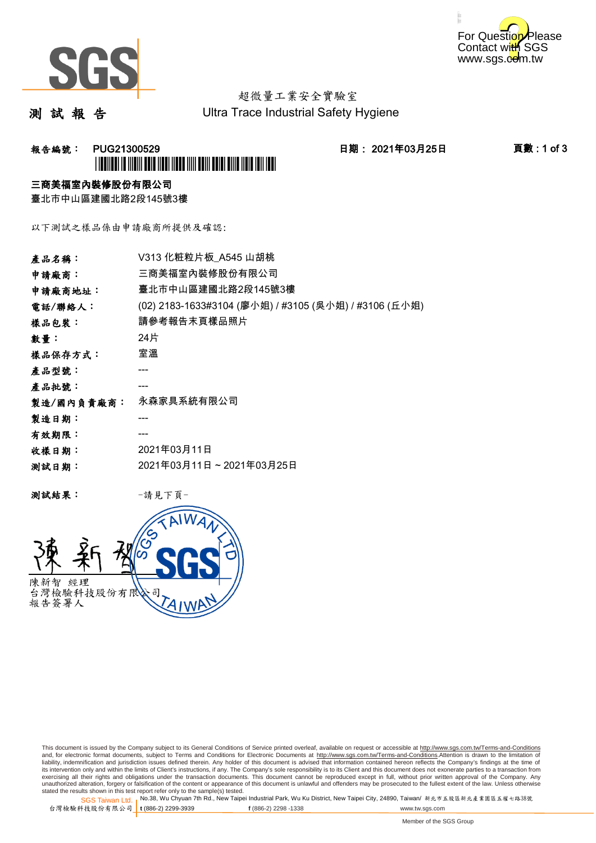



# 超微量工業安全實驗室

測 試 報 告

Ultra Trace Industrial Safety Hygiene

## **報告編號: PUG21300529 日期: 2021年03月25日 頁數:1 of 3** \*PUG21300529\*

### 三商美福室內裝修股份有限公司

臺北市中山區建國北路2段145號3樓

以下測試之樣品係由申請廠商所提供及確認:

| 產品名稱:      | V313 化粧粒片板 A545 山胡桃                                   |
|------------|-------------------------------------------------------|
| 申請廠商:      | 三商美福室內裝修股份有限公司                                        |
| 申請廠商地址:    | 臺北市中山區建國北路2段145號3樓                                    |
| 電話/聯絡人:    | (02) 2183-1633#3104 (廖小姐) / #3105 (吳小姐) / #3106 (丘小姐) |
| 樣品包裝:      | 請參考報告末頁樣品照片                                           |
| 數量:        | 24片                                                   |
| 樣品保存方式:    | 室溫                                                    |
| 產品型號:      |                                                       |
| 產品批號:      |                                                       |
| 製造/國內負責廠商: | 永森家具系統有限公司                                            |
| 製造日期:      |                                                       |
| 有效期限:      |                                                       |
| 收樣日期:      | 2021年03月11日                                           |
| 测試日期:      | 2021年03月11日~2021年03月25日                               |
|            |                                                       |

测試結果: 一請見下頁



This document is issued by the Company subject to its General Conditions of Service printed overleaf, available on request or accessible at http://www.sgs.com.tw/Terms-and-Conditions and, for electronic format documents, subject to Terms and Conditions for Electronic Documents at <u>http://www.sgs.com.tw/Terms-and-Conditions</u>.Attention is drawn to the limitation of<br>liability, indemnification and jurisdic exercising all their rights and obligations under the transaction documents. This document cannot be reproduced except in full, without prior written approval of the Company. Any<br>unauthorized alteration, forgery or falsifi

SGS Taiwan Ltd. 1 stated the results shown in this test report refer only to the sample(s) tested.<br>Stated the results shown in this test report refer only to the sample(s) tested.

台灣檢驗科技股份有限公司

**t** (886-2) 2299-3939 **f** (886-2) 2298 -1338 www.tw.sgs.com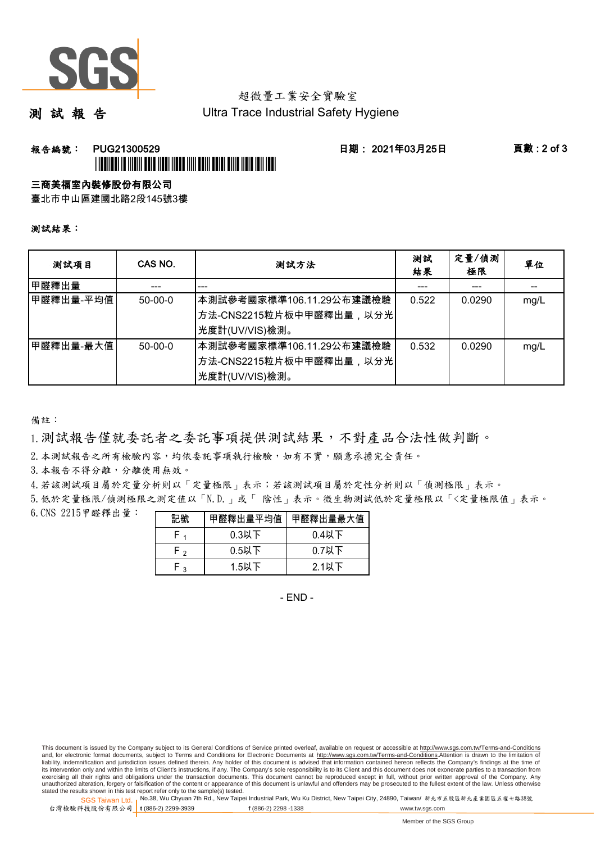

# 超微量工業安全實驗室

測 試 報 告

Ultra Trace Industrial Safety Hygiene

### **報告編號: PUG21300529 日期: 2021年03月25日 頁數:2 of 3** \*PUGE 1999 AND AND A COUNTRY AND A CONTINUES OF A STATE OF A STATE OF A STATE OF A STATE OF A STATE OF A STATE

#### 三商美福室內裝修股份有限公司

臺北市中山區建國北路2段145號3樓

#### 測試結果:

| 测試項目        | CAS NO.   | 測試方法                                                                    | 測試<br>結果 | 定量/偵測<br>極限 | 單位   |
|-------------|-----------|-------------------------------------------------------------------------|----------|-------------|------|
| 甲醛釋出量       |           |                                                                         |          |             |      |
| 甲醛釋出量-平均值   | $50-00-0$ | 本測試參考國家標準106.11.29公布建議檢驗<br>方法-CNS2215粒片板中甲醛釋出量,以分光<br>光度計(UV/VIS)檢測。   | 0.522    | 0.0290      | mg/L |
| ┃甲醛釋出量-最大值│ | $50-00-0$ | 本測試參考國家標準106.11.29公布建議檢驗<br>│方法-CNS2215粒片板中甲醛釋出量,以分光│<br>光度計(UV/VIS)檢測。 | 0.532    | 0.0290      | mg/L |

備註:

1.測試報告僅就委託者之委託事項提供測試結果,不對產品合法性做判斷。

2.本測試報告之所有檢驗內容,均依委託事項執行檢驗,如有不實,願意承擔完全責任。

3. 本報告不得分離,分離使用無效。

4.若該測試項目屬於定量分析則以「定量極限」表示;若該測試項目屬於定性分析則以「偵測極限」表示。

5.低於定量極限/偵測極限之測定值以「N.D.」或「 陰性」表示。微生物測試低於定量極限以「<定量極限值」表示。

6.CNS 2215甲醛釋出量:

| 記號  | 甲醛釋出量平均值 | 甲醛釋出量最大值 |
|-----|----------|----------|
|     | $0.3$ 以下 | $0.4$ 以下 |
| ه ۲ | $0.5$ 以下 | $0.7$ 以下 |
| ⊸ ⊢ | $1.5$ 以下 | $2.1$ 以下 |

- END -

This document is issued by the Company subject to its General Conditions of Service printed overleaf, available on request or accessible at http://www.sgs.com.tw/Terms-and-Conditions and, for electronic format documents, subject to Terms and Conditions for Electronic Documents at http://www.sgs.com.tw/Terms-and-Conditions.Attention is drawn to the limitation of liability, indemnification and jurisdiction issues defined therein. Any holder of this document is advised that information contained hereon reflects the Company's findings at the time of<br>its intervention only and within t exercising all their rights and obligations under the transaction documents. This document cannot be reproduced except in full, without prior written approval of the Company. Any<br>unauthorized alteration, forgery or falsifi

SGS Taiwan Ltd. 1 stated the results shown in this test report refer only to the sample(s) tested.<br>Stated the results shown in this test report refer only to the sample(s) tested.

台灣檢驗科技股份有限公司

**t** (886-2) 2299-3939 **f** (886-2) 2298 -1338 www.tw.sgs.com